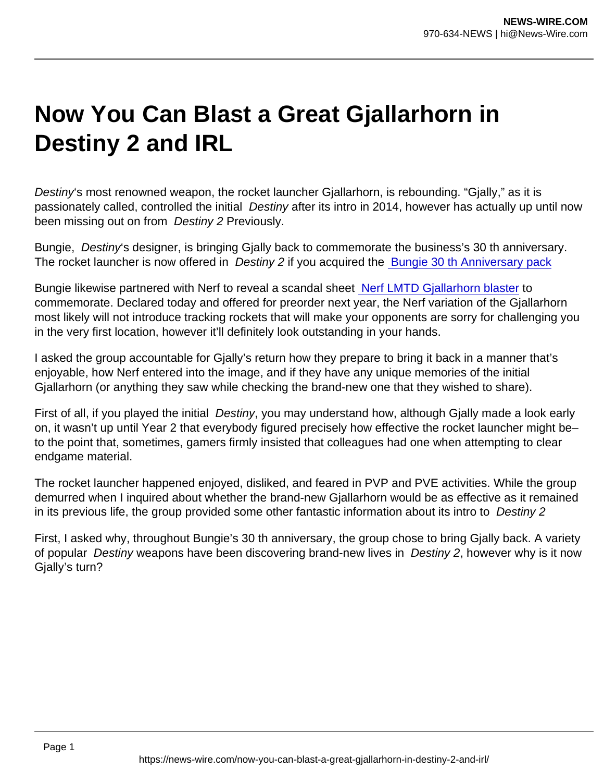## Now You Can Blast a Great Gjallarhorn in Destiny 2 and IRL

Destiny's most renowned weapon, the rocket launcher Gjallarhorn, is rebounding. "Gjally," as it is passionately called, controlled the initial Destiny after its intro in 2014, however has actually up until now been missing out on from Destiny 2 Previously.

Bungie, Destiny's designer, is bringing Gjally back to commemorate the business's 30 th anniversary. The rocket launcher is now offered in Destiny 2 if you acquired the [Bungie 30 th Anniversary pack](https://www.bungie.net/7/en/Direct/Anniversary)

Bungie likewise partnered with Nerf to reveal a scandal sheet [Nerf LMTD Gjallarhorn blaster](https://bungiestore.com/bungie-rewards-nerf-lmtd-destiny-gjallarhorn-blaster) to commemorate. Declared today and offered for preorder next year, the Nerf variation of the Gjallarhorn most likely will not introduce tracking rockets that will make your opponents are sorry for challenging you in the very first location, however it'll definitely look outstanding in your hands.

I asked the group accountable for Gjally's return how they prepare to bring it back in a manner that's enjoyable, how Nerf entered into the image, and if they have any unique memories of the initial Gjallarhorn (or anything they saw while checking the brand-new one that they wished to share).

First of all, if you played the initial Destiny, you may understand how, although Gjally made a look early on, it wasn't up until Year 2 that everybody figured precisely how effective the rocket launcher might be– to the point that, sometimes, gamers firmly insisted that colleagues had one when attempting to clear endgame material.

The rocket launcher happened enjoyed, disliked, and feared in PVP and PVE activities. While the group demurred when I inquired about whether the brand-new Gjallarhorn would be as effective as it remained in its previous life, the group provided some other fantastic information about its intro to Destiny 2

First, I asked why, throughout Bungie's 30 th anniversary, the group chose to bring Gjally back. A variety of popular Destiny weapons have been discovering brand-new lives in Destiny 2, however why is it now Gjally's turn?